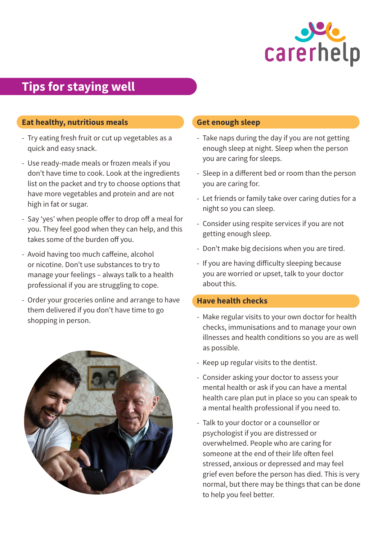

# **Tips for staying well**

#### **Eat healthy, nutritious meals**

- Try eating fresh fruit or cut up vegetables as a quick and easy snack.
- Use ready-made meals or frozen meals if you don't have time to cook. Look at the ingredients list on the packet and try to choose options that have more vegetables and protein and are not high in fat or sugar.
- Say 'yes' when people offer to drop off a meal for you. They feel good when they can help, and this takes some of the burden off you.
- Avoid having too much caffeine, alcohol or nicotine. Don't use substances to try to manage your feelings – always talk to a health professional if you are struggling to cope.
- Order your groceries online and arrange to have them delivered if you don't have time to go shopping in person.



#### **Get enough sleep**

- Take naps during the day if you are not getting enough sleep at night. Sleep when the person you are caring for sleeps.
- Sleep in a different bed or room than the person you are caring for.
- Let friends or family take over caring duties for a night so you can sleep.
- Consider using respite services if you are not getting enough sleep.
- Don't make big decisions when you are tired.
- If you are having difficulty sleeping because you are worried or upset, talk to your doctor about this.

## **Have health checks**

- Make regular visits to your own doctor for health checks, immunisations and to manage your own illnesses and health conditions so you are as well as possible.
- Keep up regular visits to the dentist.
- Consider asking your doctor to assess your mental health or ask if you can have a mental health care plan put in place so you can speak to a mental health professional if you need to.
- Talk to your doctor or a counsellor or psychologist if you are distressed or overwhelmed. People who are caring for someone at the end of their life often feel stressed, anxious or depressed and may feel grief even before the person has died. This is very normal, but there may be things that can be done to help you feel better.